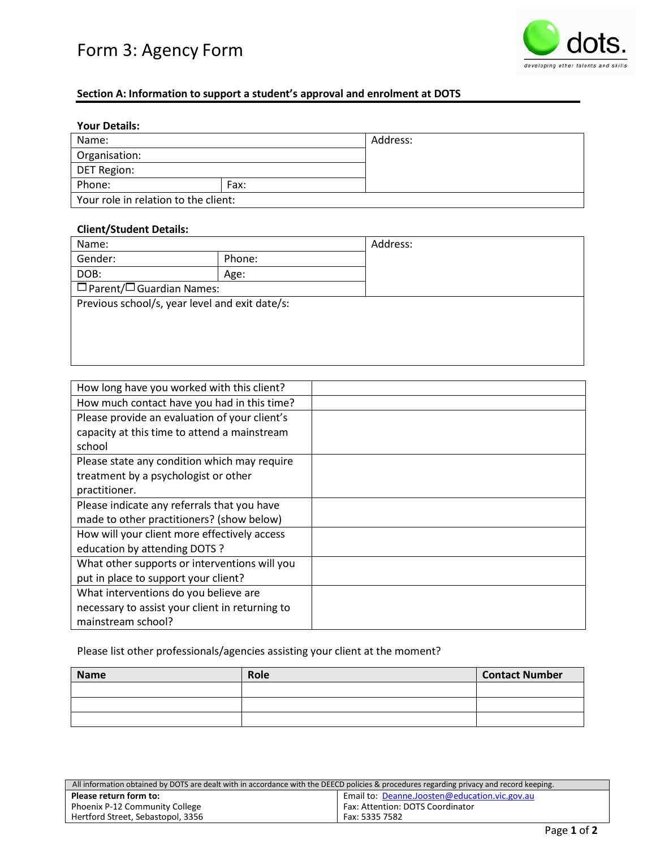# Form 3: Agency Form



## **Section A: Information to support a student's approval and enrolment at DOTS**

| <b>Your Details:</b>                 |      |          |
|--------------------------------------|------|----------|
| Name:                                |      | Address: |
| Organisation:                        |      |          |
| DET Region:                          |      |          |
| Phone:                               | Fax: |          |
| Your role in relation to the client: |      |          |

### **Client/Student Details:**

| Name:                                          |        | Address: |
|------------------------------------------------|--------|----------|
| Gender:                                        | Phone: |          |
| DOB:                                           | Age:   |          |
| $\Box$ Parent/ $\Box$ Guardian Names:          |        |          |
| Previous school/s, year level and exit date/s: |        |          |
|                                                |        |          |
|                                                |        |          |
|                                                |        |          |

| How long have you worked with this client?      |  |
|-------------------------------------------------|--|
| How much contact have you had in this time?     |  |
| Please provide an evaluation of your client's   |  |
| capacity at this time to attend a mainstream    |  |
| school                                          |  |
| Please state any condition which may require    |  |
| treatment by a psychologist or other            |  |
| practitioner.                                   |  |
| Please indicate any referrals that you have     |  |
| made to other practitioners? (show below)       |  |
| How will your client more effectively access    |  |
| education by attending DOTS ?                   |  |
| What other supports or interventions will you   |  |
| put in place to support your client?            |  |
| What interventions do you believe are           |  |
| necessary to assist your client in returning to |  |
| mainstream school?                              |  |

# Please list other professionals/agencies assisting your client at the moment?

| <b>Name</b> | Role | <b>Contact Number</b> |
|-------------|------|-----------------------|
|             |      |                       |
|             |      |                       |
|             |      |                       |

| All information obtained by DOTS are dealt with in accordance with the DEECD policies & procedures regarding privacy and record keeping. |                                               |
|------------------------------------------------------------------------------------------------------------------------------------------|-----------------------------------------------|
| Please return form to:                                                                                                                   | Email to: Deanne.Joosten@education.vic.gov.au |
| Phoenix P-12 Community College                                                                                                           | Fax: Attention: DOTS Coordinator              |
| Hertford Street, Sebastopol, 3356                                                                                                        | Fax: 5335 7582                                |